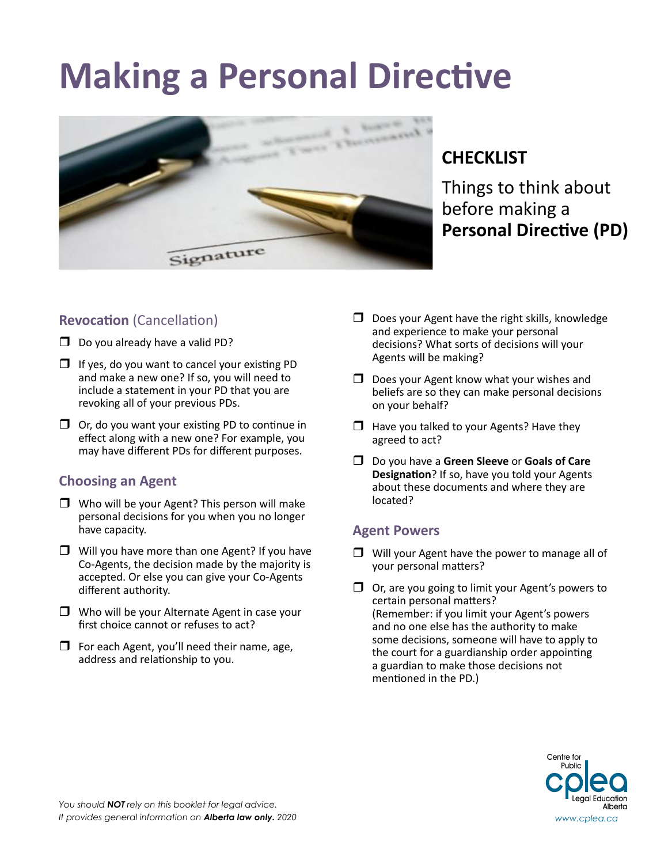# **Making a Personal Directive**



## **CHECKLIST**

Things to think about before making a **Personal Directive (PD)**

### **Revocation** (Cancellation)

- $\Box$  Do you already have a valid PD?
- $\Box$  If yes, do you want to cancel your existing PD and make a new one? If so, you will need to include a statement in your PD that you are revoking all of your previous PDs.
- $\Box$  Or, do you want your existing PD to continue in effect along with a new one? For example, you may have different PDs for different purposes.

#### **Choosing an Agent**

- $\Box$  Who will be your Agent? This person will make personal decisions for you when you no longer have capacity.
- $\Box$  Will you have more than one Agent? If you have Co-Agents, the decision made by the majority is accepted. Or else you can give your Co-Agents different authority.
- $\Box$  Who will be your Alternate Agent in case your first choice cannot or refuses to act?
- $\Box$  For each Agent, you'll need their name, age, address and relationship to you.
- $\Box$  Does your Agent have the right skills, knowledge and experience to make your personal decisions? What sorts of decisions will your Agents will be making?
- $\Box$  Does your Agent know what your wishes and beliefs are so they can make personal decisions on your behalf?
- $\Box$  Have you talked to your Agents? Have they agreed to act?
- Do you have a **Green Sleeve** or **Goals of Care Designation**? If so, have you told your Agents about these documents and where they are located?

#### **Agent Powers**

- $\Box$  Will your Agent have the power to manage all of your personal matters?
- $\Box$  Or, are you going to limit your Agent's powers to certain personal matters? (Remember: if you limit your Agent's powers and no one else has the authority to make some decisions, someone will have to apply to the court for a guardianship order appointing a guardian to make those decisions not mentioned in the PD.)